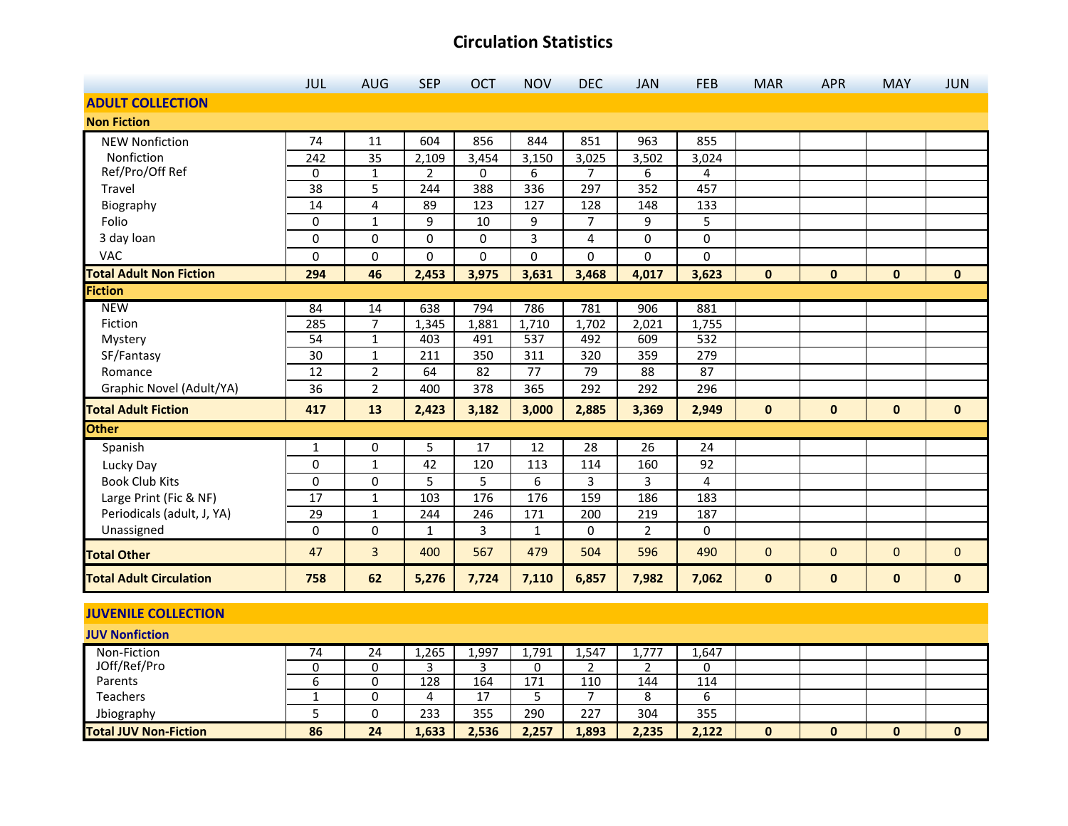|                                | <b>JUL</b>      | <b>AUG</b>     | <b>SEP</b> | <b>OCT</b> | <b>NOV</b> | <b>DEC</b>     | <b>JAN</b>     | <b>FEB</b> | <b>MAR</b>   | <b>APR</b>   | <b>MAY</b>   | <b>JUN</b>   |
|--------------------------------|-----------------|----------------|------------|------------|------------|----------------|----------------|------------|--------------|--------------|--------------|--------------|
| <b>ADULT COLLECTION</b>        |                 |                |            |            |            |                |                |            |              |              |              |              |
| <b>Non Fiction</b>             |                 |                |            |            |            |                |                |            |              |              |              |              |
| <b>NEW Nonfiction</b>          | 74              | 11             | 604        | 856        | 844        | 851            | 963            | 855        |              |              |              |              |
| Nonfiction                     | 242             | 35             | 2,109      | 3,454      | 3,150      | 3,025          | 3,502          | 3,024      |              |              |              |              |
| Ref/Pro/Off Ref                | 0               | $\mathbf{1}$   | 2          | 0          | 6          | $\overline{7}$ | 6              | 4          |              |              |              |              |
| Travel                         | 38              | 5              | 244        | 388        | 336        | 297            | 352            | 457        |              |              |              |              |
| Biography                      | 14              | 4              | 89         | 123        | 127        | 128            | 148            | 133        |              |              |              |              |
| Folio                          | $\mathbf{0}$    | $\mathbf{1}$   | 9          | 10         | 9          | $\overline{7}$ | 9              | 5          |              |              |              |              |
| 3 day loan                     | 0               | 0              | 0          | 0          | 3          | 4              | 0              | 0          |              |              |              |              |
| VAC                            | 0               | 0              | 0          | 0          | 0          | 0              | 0              | 0          |              |              |              |              |
| <b>Total Adult Non Fiction</b> | 294             | 46             | 2,453      | 3,975      | 3,631      | 3,468          | 4,017          | 3,623      | $\mathbf{0}$ | $\mathbf{0}$ | $\mathbf{0}$ | $\mathbf{0}$ |
| <b>Fiction</b>                 |                 |                |            |            |            |                |                |            |              |              |              |              |
| <b>NEW</b>                     | 84              | 14             | 638        | 794        | 786        | 781            | 906            | 881        |              |              |              |              |
| Fiction                        | 285             | $\overline{7}$ | 1,345      | 1,881      | 1,710      | 1,702          | 2,021          | 1,755      |              |              |              |              |
| Mystery                        | 54              | $\mathbf{1}$   | 403        | 491        | 537        | 492            | 609            | 532        |              |              |              |              |
| SF/Fantasy                     | 30              | 1              | 211        | 350        | 311        | 320            | 359            | 279        |              |              |              |              |
| Romance                        | 12              | $\overline{2}$ | 64         | 82         | 77         | 79             | 88             | 87         |              |              |              |              |
| Graphic Novel (Adult/YA)       | 36              | $\overline{2}$ | 400        | 378        | 365        | 292            | 292            | 296        |              |              |              |              |
| <b>Total Adult Fiction</b>     | 417             | 13             | 2,423      | 3,182      | 3,000      | 2,885          | 3,369          | 2,949      | $\mathbf 0$  | $\mathbf 0$  | $\mathbf{0}$ | $\mathbf{0}$ |
| <b>Other</b>                   |                 |                |            |            |            |                |                |            |              |              |              |              |
| Spanish                        | 1               | 0              | 5          | 17         | 12         | 28             | 26             | 24         |              |              |              |              |
| Lucky Day                      | 0               | $\mathbf{1}$   | 42         | 120        | 113        | 114            | 160            | 92         |              |              |              |              |
| <b>Book Club Kits</b>          | 0               | $\pmb{0}$      | 5          | 5          | 6          | 3              | 3              | 4          |              |              |              |              |
| Large Print (Fic & NF)         | 17              | $\mathbf{1}$   | 103        | 176        | 176        | 159            | 186            | 183        |              |              |              |              |
| Periodicals (adult, J, YA)     | $\overline{29}$ | $\mathbf 1$    | 244        | 246        | 171        | 200            | 219            | 187        |              |              |              |              |
| Unassigned                     | 0               | 0              | 1          | 3          | 1          | 0              | $\overline{2}$ | 0          |              |              |              |              |
| <b>Total Other</b>             | 47              | 3              | 400        | 567        | 479        | 504            | 596            | 490        | $\mathbf{0}$ | $\mathbf{0}$ | $\mathbf{0}$ | $\mathbf{0}$ |
| <b>Total Adult Circulation</b> | 758             | 62             | 5,276      | 7,724      | 7,110      | 6,857          | 7,982          | 7,062      | $\mathbf 0$  | $\pmb{0}$    | $\mathbf 0$  | $\mathbf 0$  |

#### **JUVENILE COLLECTION**

| <b>JUV Nonfiction</b>        |    |    |       |                                 |       |       |         |       |              |   |   |
|------------------------------|----|----|-------|---------------------------------|-------|-------|---------|-------|--------------|---|---|
| Non-Fiction                  | 74 | 24 | 1,265 | 1,997                           | 1,791 | 754،⊥ | 1,777   | 1,647 |              |   |   |
| JOff/Ref/Pro                 |    |    |       |                                 |       |       |         |       |              |   |   |
| Parents                      |    |    | 128   | 164                             | 171   | 110   | 144     | 114   |              |   |   |
| <b>Teachers</b>              |    |    | 4     | $\overline{ }$<br><u>. на с</u> |       |       | ິດ<br>Ō |       |              |   |   |
| Jbiography                   |    |    | 233   | 355                             | 290   | 227   | 304     | 355   |              |   |   |
| <b>Total JUV Non-Fiction</b> | 86 | 24 | 1,633 | 2,536                           | 2,257 | 1,893 | 2,235   | 2,122 | $\mathbf{0}$ | 0 | 0 |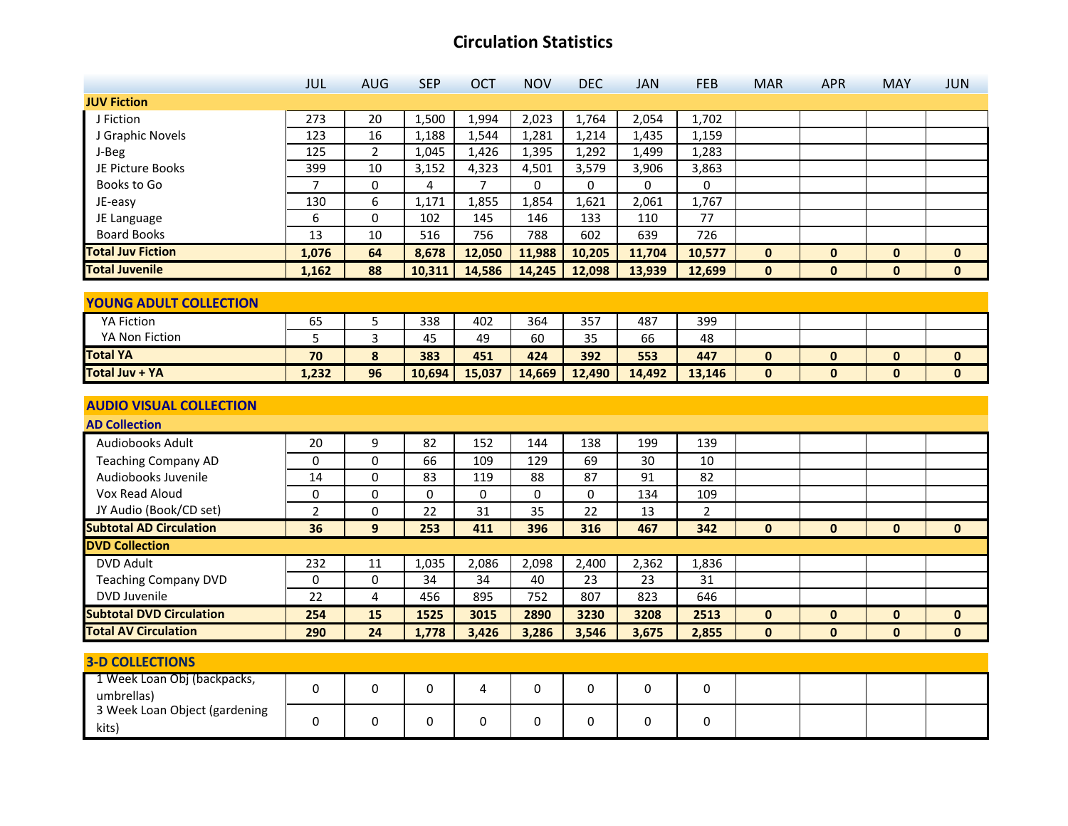|                                             | JUL            | <b>AUG</b>     | <b>SEP</b>      | OCT            | <b>NOV</b>      | <b>DEC</b> | <b>JAN</b>      | <b>FEB</b>      | <b>MAR</b>   | <b>APR</b>   | <b>MAY</b>   | <b>JUN</b>   |
|---------------------------------------------|----------------|----------------|-----------------|----------------|-----------------|------------|-----------------|-----------------|--------------|--------------|--------------|--------------|
| <b>JUV Fiction</b>                          |                |                |                 |                |                 |            |                 |                 |              |              |              |              |
| J Fiction                                   | 273            | 20             | 1,500           | 1,994          | 2,023           | 1,764      | 2,054           | 1,702           |              |              |              |              |
| J Graphic Novels                            | 123            | 16             | 1,188           | 1,544          | 1,281           | 1,214      | 1,435           | 1,159           |              |              |              |              |
| J-Beg                                       | 125            | $\overline{2}$ | 1,045           | 1,426          | 1,395           | 1,292      | 1,499           | 1,283           |              |              |              |              |
| JE Picture Books                            | 399            | 10             | 3,152           | 4,323          | 4,501           | 3,579      | 3,906           | 3,863           |              |              |              |              |
| Books to Go                                 | $\overline{7}$ | 0              | 4               | $\overline{7}$ | $\Omega$        | $\Omega$   | $\Omega$        | $\Omega$        |              |              |              |              |
| JE-easy                                     | 130            | $\overline{6}$ | 1,171           | 1,855          | 1,854           | 1,621      | 2,061           | 1,767           |              |              |              |              |
| JE Language                                 | 6              | 0              | 102             | 145            | 146             | 133        | 110             | 77              |              |              |              |              |
| <b>Board Books</b>                          | 13             | 10             | 516             | 756            | 788             | 602        | 639             | 726             |              |              |              |              |
| <b>Total Juv Fiction</b>                    | 1,076          | 64             | 8,678           | 12,050         | 11,988          | 10,205     | 11,704          | 10,577          | $\mathbf{0}$ | $\mathbf{0}$ | $\mathbf{0}$ | $\mathbf{0}$ |
| <b>Total Juvenile</b>                       | 1,162          | 88             | 10,311          | 14,586         | 14,245          | 12,098     | 13,939          | 12,699          | $\mathbf 0$  | $\mathbf{0}$ | $\mathbf 0$  | $\mathbf 0$  |
|                                             |                |                |                 |                |                 |            |                 |                 |              |              |              |              |
| <b>YOUNG ADULT COLLECTION</b>               |                |                |                 |                |                 |            |                 |                 |              |              |              |              |
| <b>YA Fiction</b>                           | 65             | 5              | 338             | 402            | 364             | 357        | 487             | 399             |              |              |              |              |
| YA Non Fiction                              | 5              | 3              | 45              | 49             | 60              | 35         | 66              | 48              |              |              |              |              |
| <b>Total YA</b>                             | 70             | 8              | 383             | 451            | 424             | 392        | 553             | 447             | $\mathbf{0}$ | $\mathbf{0}$ | $\bf{0}$     | $\mathbf{0}$ |
| <b>Total Juv + YA</b>                       | 1,232          | 96             | 10,694          | 15,037         | 14,669          | 12,490     | 14,492          | 13,146          | $\mathbf{0}$ | $\mathbf{0}$ | $\mathbf{0}$ | $\mathbf{0}$ |
|                                             |                |                |                 |                |                 |            |                 |                 |              |              |              |              |
| <b>AUDIO VISUAL COLLECTION</b>              |                |                |                 |                |                 |            |                 |                 |              |              |              |              |
| <b>AD Collection</b>                        |                |                |                 |                |                 |            |                 |                 |              |              |              |              |
| Audiobooks Adult                            | 20             | 9              | 82              | 152            | 144             | 138        | 199             | 139             |              |              |              |              |
| <b>Teaching Company AD</b>                  | 0              | 0              | 66              | 109            | $\frac{129}{x}$ | 69         | $\overline{30}$ | 10              |              |              |              |              |
| Audiobooks Juvenile                         | 14             | $\mathbf 0$    | $\overline{83}$ | 119            | 88              | 87         | $\overline{91}$ | $\overline{82}$ |              |              |              |              |
| Vox Read Aloud                              | $\Omega$       | $\mathbf 0$    | $\mathbf 0$     | 0              | $\mathbf 0$     | 0          | 134             | 109             |              |              |              |              |
| JY Audio (Book/CD set)                      | $\overline{2}$ | 0              | 22              | 31             | 35              | 22         | 13              | $\overline{2}$  |              |              |              |              |
| <b>Subtotal AD Circulation</b>              | 36             | 9 <sup>°</sup> | 253             | 411            | 396             | 316        | 467             | 342             | $\mathbf{0}$ | $\mathbf{0}$ | $\mathbf{0}$ | $\mathbf{0}$ |
| <b>DVD Collection</b>                       |                |                |                 |                |                 |            |                 |                 |              |              |              |              |
| <b>DVD Adult</b>                            | 232            | 11             | 1,035           | 2,086          | 2,098           | 2,400      | 2,362           | 1,836           |              |              |              |              |
| <b>Teaching Company DVD</b>                 | 0              | 0              | 34              | 34             | 40              | 23         | 23              | 31              |              |              |              |              |
| DVD Juvenile                                | 22             | 4              | 456             | 895            | 752             | 807        | 823             | 646             |              |              |              |              |
| <b>Subtotal DVD Circulation</b>             | 254            | 15             | 1525            | 3015           | 2890            | 3230       | 3208            | 2513            | $\mathbf 0$  | $\mathbf{0}$ | 0            | $\mathbf 0$  |
| <b>Total AV Circulation</b>                 | 290            | 24             | 1,778           | 3,426          | 3,286           | 3,546      | 3,675           | 2,855           | $\mathbf{0}$ | $\mathbf{0}$ | $\mathbf{0}$ | $\mathbf 0$  |
|                                             |                |                |                 |                |                 |            |                 |                 |              |              |              |              |
| <b>3-D COLLECTIONS</b>                      |                |                |                 |                |                 |            |                 |                 |              |              |              |              |
| 1 Week Loan Obj (backpacks,                 | 0              | 0              | 0               | 4              | 0               | 0          | 0               | 0               |              |              |              |              |
| umbrellas)<br>3 Week Loan Object (gardening |                |                |                 |                |                 |            |                 |                 |              |              |              |              |
|                                             | 0              | 0              | 0               | 0              | 0               | 0          | 0               | 0               |              |              |              |              |
| kits)                                       |                |                |                 |                |                 |            |                 |                 |              |              |              |              |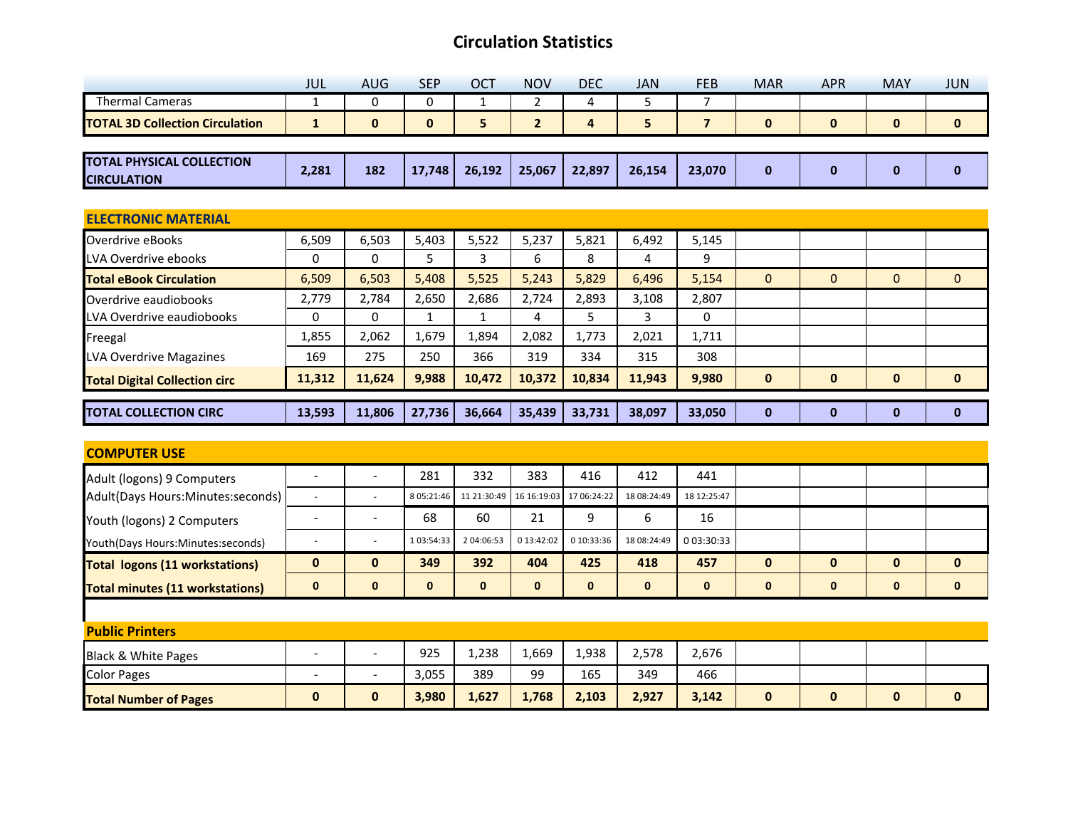|                                                        | <b>JUL</b>   | <b>AUG</b> | <b>SEP</b>   | OCT    | <b>NOV</b>     | <b>DEC</b> | <b>JAN</b> | <b>FEB</b>     | <b>MAR</b>   | <b>APR</b>   | <b>MAY</b>   | <b>JUN</b>   |
|--------------------------------------------------------|--------------|------------|--------------|--------|----------------|------------|------------|----------------|--------------|--------------|--------------|--------------|
| <b>Thermal Cameras</b>                                 |              | 0          | $\Omega$     | 1      | $\overline{2}$ | 4          | 5          | 7              |              |              |              |              |
| <b>TOTAL 3D Collection Circulation</b>                 | $\mathbf{1}$ | $\bf{0}$   | $\mathbf{0}$ | 5      | $\overline{2}$ | 4          | 5          | $\overline{7}$ | $\bf{0}$     | $\mathbf 0$  | $\mathbf{0}$ | $\mathbf 0$  |
|                                                        |              |            |              |        |                |            |            |                |              |              |              |              |
| <b>TOTAL PHYSICAL COLLECTION</b><br><b>CIRCULATION</b> | 2,281        | 182        | 17,748       | 26,192 | 25,067         | 22,897     | 26,154     | 23,070         | $\bf{0}$     | $\bf{0}$     | $\bf{0}$     | $\mathbf 0$  |
|                                                        |              |            |              |        |                |            |            |                |              |              |              |              |
| <b>ELECTRONIC MATERIAL</b>                             |              |            |              |        |                |            |            |                |              |              |              |              |
| Overdrive eBooks                                       | 6,509        | 6,503      | 5,403        | 5,522  | 5,237          | 5,821      | 6,492      | 5,145          |              |              |              |              |
| LVA Overdrive ebooks                                   | 0            | 0          | 5.           | 3      | 6              | 8          | 4          | 9              |              |              |              |              |
| <b>Total eBook Circulation</b>                         | 6,509        | 6,503      | 5,408        | 5,525  | 5,243          | 5,829      | 6,496      | 5,154          | $\mathbf{0}$ | $\mathbf{0}$ | $\mathbf{0}$ | $\mathbf{0}$ |
| Overdrive eaudiobooks                                  | 2,779        | 2,784      | 2,650        | 2,686  | 2,724          | 2,893      | 3,108      | 2,807          |              |              |              |              |
| LVA Overdrive eaudiobooks                              | $\Omega$     | 0          | $\mathbf{1}$ | 1      | 4              | 5          | 3          | 0              |              |              |              |              |
| Freegal                                                | 1,855        | 2,062      | 1,679        | 1,894  | 2,082          | 1,773      | 2,021      | 1,711          |              |              |              |              |
| LVA Overdrive Magazines                                | 169          | 275        | 250          | 366    | 319            | 334        | 315        | 308            |              |              |              |              |
| <b>Total Digital Collection circ</b>                   | 11,312       | 11,624     | 9,988        | 10,472 | 10,372         | 10,834     | 11,943     | 9,980          | $\bf{0}$     | $\mathbf{0}$ | $\mathbf{0}$ | $\mathbf 0$  |
| <b>TOTAL COLLECTION CIRC</b>                           | 13,593       | 11,806     | 27,736       | 36,664 | 35,439         | 33,731     | 38,097     | 33,050         | $\mathbf 0$  | $\bf{0}$     | $\bf{0}$     | $\mathbf 0$  |

| <b>COMPUTER USE</b>                    |                          |                          |              |              |                         |              |              |             |              |              |              |              |
|----------------------------------------|--------------------------|--------------------------|--------------|--------------|-------------------------|--------------|--------------|-------------|--------------|--------------|--------------|--------------|
| Adult (logons) 9 Computers             |                          |                          | 281          | 332          | 383                     | 416          | 412          | 441         |              |              |              |              |
| Adult(Days Hours:Minutes:seconds)      |                          | $\overline{\phantom{0}}$ | 8 05:21:46   |              | 11 21:30:49 16 16:19:03 | 17 06:24:22  | 18 08:24:49  | 18 12:25:47 |              |              |              |              |
| Youth (logons) 2 Computers             |                          | ۰                        | 68           | 60           | 21                      | 9            | 6            | 16          |              |              |              |              |
| Youth(Days Hours:Minutes:seconds)      |                          | ٠                        | 1 03:54:33   | 2 04:06:53   | 0 13:42:02              | 0 10:33:36   | 18 08:24:49  | 0 03:30:33  |              |              |              |              |
| <b>Total logons (11 workstations)</b>  | $\mathbf{0}$             | $\mathbf{0}$             | 349          | 392          | 404                     | 425          | 418          | 457         | $\mathbf{0}$ | $\mathbf{0}$ | $\bf{0}$     | $\mathbf{0}$ |
|                                        | $\bf{0}$                 | 0                        | $\mathbf{0}$ | $\mathbf{0}$ | $\bf{0}$                | $\mathbf{0}$ | $\mathbf{0}$ | $\bf{0}$    | $\mathbf 0$  | 0            | $\mathbf{0}$ | $\mathbf{0}$ |
| <b>Total minutes (11 workstations)</b> |                          |                          |              |              |                         |              |              |             |              |              |              |              |
|                                        |                          |                          |              |              |                         |              |              |             |              |              |              |              |
| <b>Public Printers</b>                 |                          |                          |              |              |                         |              |              |             |              |              |              |              |
| Black & White Pages                    |                          | ٠                        | 925          | 1,238        | 1,669                   | 1,938        | 2,578        | 2,676       |              |              |              |              |
| <b>Color Pages</b>                     | $\overline{\phantom{0}}$ | ۰                        | 3,055        | 389          | 99                      | 165          | 349          | 466         |              |              |              |              |